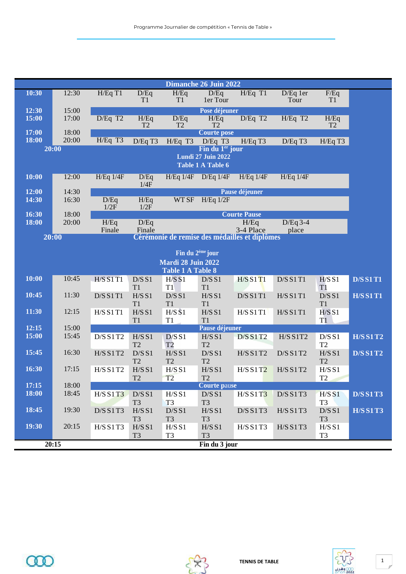| <b>Dimanche 26 Juin 2022</b>                           |       |                       |                         |                          |                             |                       |                       |                         |                  |  |
|--------------------------------------------------------|-------|-----------------------|-------------------------|--------------------------|-----------------------------|-----------------------|-----------------------|-------------------------|------------------|--|
| 10:30                                                  | 12:30 | H/EqT1                | D/Eq                    | H/Eq                     | D/Eq                        | $H/Eq$ T1             | D/Eq 1er              | F/Eq                    |                  |  |
|                                                        |       |                       | T1                      | T <sub>1</sub>           | 1er Tour                    |                       | Tour                  | T <sub>1</sub>          |                  |  |
| 12:30                                                  | 15:00 |                       |                         |                          | Pose déjeuner               |                       |                       |                         |                  |  |
| 15:00                                                  | 17:00 | $D/Eq$ T <sub>2</sub> | H/Eq<br>T <sub>2</sub>  | D/Eq<br>T <sub>2</sub>   | H/Eq<br>T <sub>2</sub>      | $D/Eq$ T <sub>2</sub> | $H/Eq$ T <sub>2</sub> | H/Eq<br>T <sub>2</sub>  |                  |  |
| 17:00                                                  | 18:00 |                       |                         |                          | <b>Courte pose</b>          |                       |                       |                         |                  |  |
| 18:00                                                  | 20:00 | $H/Eq$ T <sub>3</sub> | D/Eq T3                 | $H/Eq$ T <sub>3</sub>    | $D/Eq$ T <sub>3</sub>       | $H/Eq$ T <sub>3</sub> | $D/Eq$ T <sub>3</sub> | $H/Eq$ T <sub>3</sub>   |                  |  |
|                                                        | 20:00 |                       |                         |                          | Fin du 1 <sup>er</sup> jour |                       |                       |                         |                  |  |
| <b>Lundi 27 Juin 2022</b>                              |       |                       |                         |                          |                             |                       |                       |                         |                  |  |
| <b>Table 1 A Table 6</b>                               |       |                       |                         |                          |                             |                       |                       |                         |                  |  |
| 10:00                                                  | 12:00 | $H/Eq$ 1/4 $F$        | D/Eq                    |                          | $H/Eq 1/4F$ D/Eq $1/4F$     | $H/Eq$ 1/4 $F$        | $H/Eq$ 1/4 $F$        |                         |                  |  |
| 12:00                                                  | 14:30 |                       | 1/4F                    |                          |                             | Pause déjeuner        |                       |                         |                  |  |
| 14:30                                                  | 16:30 | D/Eq                  | H/Eq                    | WT SF                    | $H/Eq$ 1/2 $F$              |                       |                       |                         |                  |  |
|                                                        |       | 1/2F                  | 1/2F                    |                          |                             |                       |                       |                         |                  |  |
| 16:30                                                  | 18:00 |                       |                         |                          | <b>Courte Pause</b>         |                       |                       |                         |                  |  |
| 18:00                                                  | 20:00 | H/Eq                  | D/Eq                    |                          |                             | H/Eq                  | $D/Eq$ 3-4            |                         |                  |  |
|                                                        |       | Finale                | Finale                  |                          |                             | 3-4 Place             | place                 |                         |                  |  |
| Cérémonie de remise des médailles et diplômes<br>20:00 |       |                       |                         |                          |                             |                       |                       |                         |                  |  |
| Fin du 2 <sup>éme</sup> jour                           |       |                       |                         |                          |                             |                       |                       |                         |                  |  |
| Mardi 28 Juin 2022                                     |       |                       |                         |                          |                             |                       |                       |                         |                  |  |
|                                                        |       |                       |                         | <b>Table 1 A Table 8</b> |                             |                       |                       |                         |                  |  |
| 10:00                                                  | 10:45 | <b>H/S S1 T1</b>      | D/S S1                  | H/SS1                    | D/S S1                      | H/S S1 T1             | D/S S1 T1             | H/SS1                   | <b>D/SS1T1</b>   |  |
|                                                        |       |                       | T1                      | T <sub>1</sub>           | T1                          |                       |                       | T1                      |                  |  |
| 10:45                                                  | 11:30 | D/S S1 T1             | H/SS1                   | D/SS1                    | H/SS1                       | D/S S1 T1             | <b>H/S S1 T1</b>      | D/SS1                   | <b>H/S S1 T1</b> |  |
| 11:30                                                  | 12:15 |                       | T1                      | T <sub>1</sub>           | T1                          |                       |                       | T1                      |                  |  |
|                                                        |       | <b>H/S S1 T1</b>      | H/SS1<br>T <sub>1</sub> | H/S S1<br>T1             | H/SS1<br>T <sub>1</sub>     | <b>H/S S1 T1</b>      | <b>H/S S1 T1</b>      | H/SS1<br>T1             |                  |  |
| 12:15                                                  | 15:00 |                       |                         |                          | Pause déjeuner              |                       |                       |                         |                  |  |
| 15:00                                                  | 15:45 | D/S S1 T2             | H/SS1                   | D/SS1                    | H/SS1                       | D/S S1 T2             | H/S S1T2              | D/S S1                  | <b>H/S S1 T2</b> |  |
|                                                        |       |                       | T2                      | T <sub>2</sub>           | T2                          |                       |                       | T <sub>2</sub>          |                  |  |
| 15:45                                                  | 16:30 | H/S S1 T2             | D/SS1                   | H/SS1                    | D/S S1                      | H/S S1 T2             | D/S S1 T2             | H/SS1                   | <b>D/S S1 T2</b> |  |
|                                                        |       |                       | T <sub>2</sub>          | T <sub>2</sub>           | T <sub>2</sub>              |                       |                       | T <sub>2</sub>          |                  |  |
| 16:30                                                  | 17:15 | H/S S1 T2             | H/SS1                   | H/SS1                    | H/SS1                       | H/S S1 T2             | H/S S1 T2             | H/SS1                   |                  |  |
|                                                        |       |                       | T <sub>2</sub>          | T2                       | T <sub>2</sub>              |                       |                       | T <sub>2</sub>          |                  |  |
| 17:15                                                  | 18:00 | <b>Courte pause</b>   |                         |                          |                             |                       |                       |                         |                  |  |
| 18:00                                                  | 18:45 | H/S S1T3              | D/SS1<br>T <sub>3</sub> | H/SS1<br>T <sub>3</sub>  | D/S S1<br>T <sub>3</sub>    | H/S S1T3              | D/S S1 T3             | H/SS1<br>T <sub>3</sub> | <b>D/SS1T3</b>   |  |
| 18:45                                                  | 19:30 | D/S S1T3              | H/SS1                   | D/SS1                    | H/SS1                       | D/S S1T3              | H/S S1 T3             | D/S S1                  | <b>H/SS1T3</b>   |  |
|                                                        |       |                       | T <sub>3</sub>          | T <sub>3</sub>           | T <sub>3</sub>              |                       |                       | T <sub>3</sub>          |                  |  |
| 19:30                                                  | 20:15 | H/S S1T3              | H/SS1                   | H/SS1                    | H/SS1                       | H/S S1T3              | H/S S1 T3             | H/SS1                   |                  |  |
|                                                        |       |                       | T <sub>3</sub>          | T <sub>3</sub>           | T <sub>3</sub>              |                       |                       | T <sub>3</sub>          |                  |  |
| Fin du 3 jour<br>20:15                                 |       |                       |                         |                          |                             |                       |                       |                         |                  |  |
|                                                        |       |                       |                         |                          |                             |                       |                       |                         |                  |  |